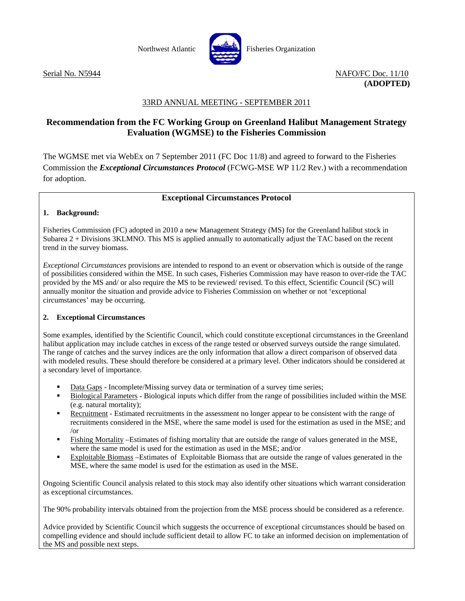

Serial No. N5944 NAFO/FC Doc. 11/10 **(ADOPTED)** 

# 33RD ANNUAL MEETING - SEPTEMBER 2011

# **Recommendation from the FC Working Group on Greenland Halibut Management Strategy Evaluation (WGMSE) to the Fisheries Commission**

The WGMSE met via WebEx on 7 September 2011 (FC Doc 11/8) and agreed to forward to the Fisheries Commission the *Exceptional Circumstances Protocol* (FCWG-MSE WP 11/2 Rev.) with a recommendation for adoption.

## **Exceptional Circumstances Protocol**

## **1. Background:**

Fisheries Commission (FC) adopted in 2010 a new Management Strategy (MS) for the Greenland halibut stock in Subarea 2 + Divisions 3KLMNO. This MS is applied annually to automatically adjust the TAC based on the recent trend in the survey biomass.

*Exceptional Circumstances* provisions are intended to respond to an event or observation which is outside of the range of possibilities considered within the MSE. In such cases, Fisheries Commission may have reason to over-ride the TAC provided by the MS and/ or also require the MS to be reviewed/ revised. To this effect, Scientific Council (SC) will annually monitor the situation and provide advice to Fisheries Commission on whether or not 'exceptional circumstances' may be occurring.

## **2. Exceptional Circumstances**

Some examples, identified by the Scientific Council, which could constitute exceptional circumstances in the Greenland halibut application may include catches in excess of the range tested or observed surveys outside the range simulated. The range of catches and the survey indices are the only information that allow a direct comparison of observed data with modeled results. These should therefore be considered at a primary level. Other indicators should be considered at a secondary level of importance.

- Data Gaps Incomplete/Missing survey data or termination of a survey time series;
- Biological Parameters Biological inputs which differ from the range of possibilities included within the MSE (e.g. natural mortality);
- Recruitment Estimated recruitments in the assessment no longer appear to be consistent with the range of recruitments considered in the MSE, where the same model is used for the estimation as used in the MSE; and /or
- Fishing Mortality –Estimates of fishing mortality that are outside the range of values generated in the MSE, where the same model is used for the estimation as used in the MSE; and/or
- Exploitable Biomass –Estimates of Exploitable Biomass that are outside the range of values generated in the MSE, where the same model is used for the estimation as used in the MSE.

Ongoing Scientific Council analysis related to this stock may also identify other situations which warrant consideration as exceptional circumstances.

The 90% probability intervals obtained from the projection from the MSE process should be considered as a reference.

Advice provided by Scientific Council which suggests the occurrence of exceptional circumstances should be based on compelling evidence and should include sufficient detail to allow FC to take an informed decision on implementation of the MS and possible next steps.